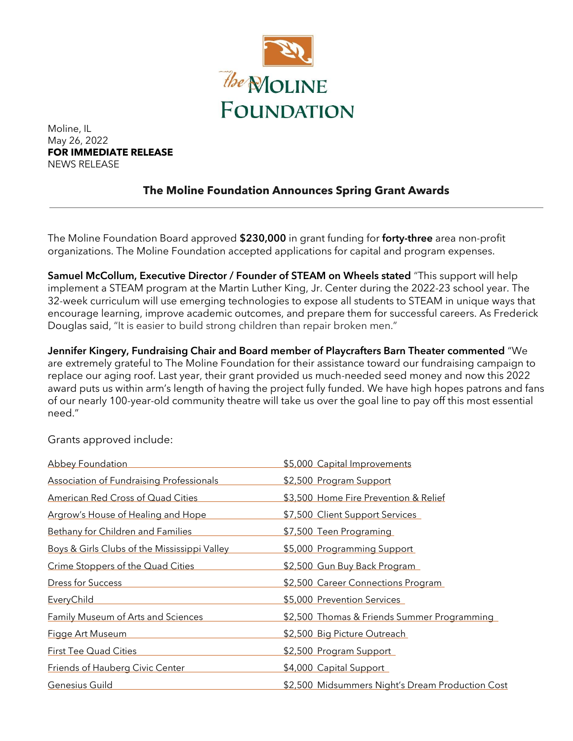

Moline, IL May 26, 2022 **FOR IMMEDIATE RELEASE** NEWS RELEASE

## **The Moline Foundation Announces Spring Grant Awards**

The Moline Foundation Board approved \$230,000 in grant funding for forty-three area non-profit organizations. The Moline Foundation accepted applications for capital and program expenses.

Samuel McCollum, Executive Director / Founder of STEAM on Wheels stated "This support will help implement a STEAM program at the Martin Luther King, Jr. Center during the 2022-23 school year. The 32-week curriculum will use emerging technologies to expose all students to STEAM in unique ways that encourage learning, improve academic outcomes, and prepare them for successful careers. As Frederick Douglas said, "It is easier to build strong children than repair broken men."

Jennifer Kingery, Fundraising Chair and Board member of Playcrafters Barn Theater commented "We are extremely grateful to The Moline Foundation for their assistance toward our fundraising campaign to replace our aging roof. Last year, their grant provided us much-needed seed money and now this 2022 award puts us within arm's length of having the project fully funded. We have high hopes patrons and fans of our nearly 100-year-old community theatre will take us over the goal line to pay off this most essential need."

| <b>Abbey Foundation</b>                         | \$5,000 Capital Improvements                     |
|-------------------------------------------------|--------------------------------------------------|
| <b>Association of Fundraising Professionals</b> | \$2,500 Program Support                          |
| <b>American Red Cross of Quad Cities</b>        | \$3,500 Home Fire Prevention & Relief            |
| <b>Argrow's House of Healing and Hope</b>       | \$7,500 Client Support Services                  |
| Bethany for Children and Families               | \$7,500 Teen Programing                          |
| Boys & Girls Clubs of the Mississippi Valley    | \$5,000 Programming Support                      |
| Crime Stoppers of the Quad Cities               | \$2,500 Gun Buy Back Program                     |
| Dress for Success                               | \$2,500 Career Connections Program               |
| <b>EveryChild</b>                               | \$5,000 Prevention Services                      |
| <b>Family Museum of Arts and Sciences</b>       | \$2,500 Thomas & Friends Summer Programming      |
| <b>Figge Art Museum</b>                         | \$2,500 Big Picture Outreach                     |
| First Tee Quad Cities                           | \$2,500 Program Support                          |
| <b>Friends of Hauberg Civic Center</b>          | \$4,000 Capital Support                          |
| Genesius Guild                                  | \$2,500 Midsummers Night's Dream Production Cost |

Grants approved include: